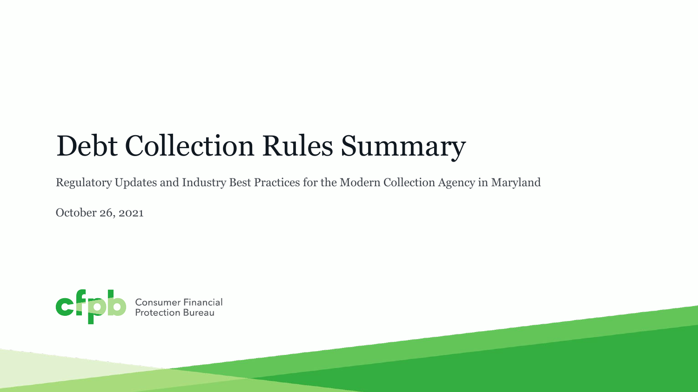# Debt Collection Rules Summary

Regulatory Updates and Industry Best Practices for the Modern Collection Agency in Maryland

October 26, 2021

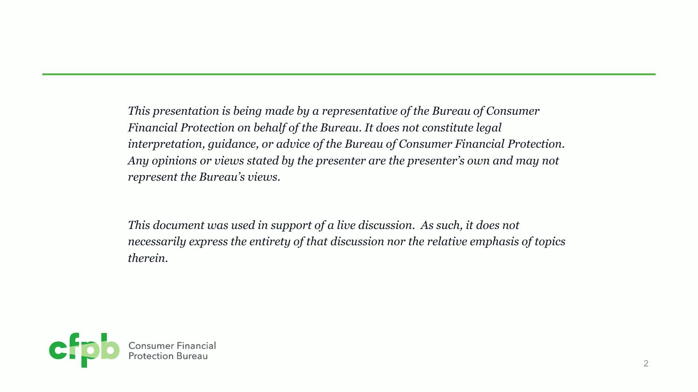*This presentation is being made by a representative of the Bureau of Consumer Financial Protection on behalf of the Bureau. It does not constitute legal interpretation, guidance, or advice of the Bureau of Consumer Financial Protection. Any opinions or views stated by the presenter are the presenter's own and may not represent the Bureau's views.*

*This document was used in support of a live discussion. As such, it does not necessarily express the entirety of that discussion nor the relative emphasis of topics therein.*

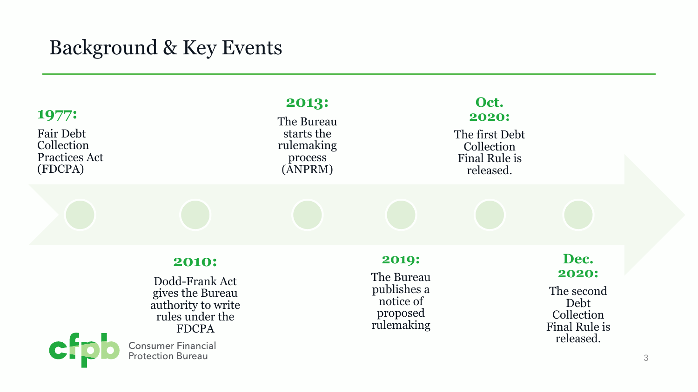### Background & Key Events

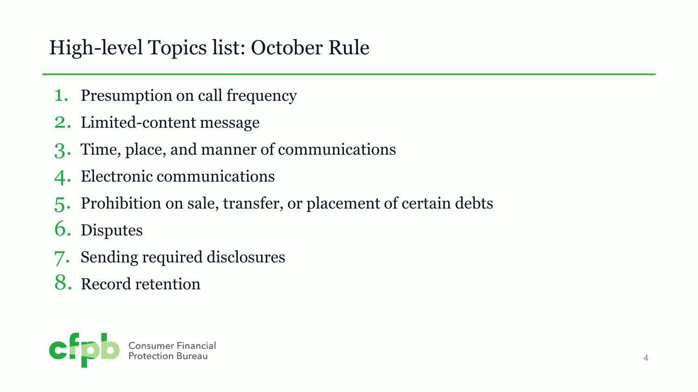## High-level Topics list: October Rule

- 1. Presumption on call frequency
- 2. Limited-content message
- 3. Time, place, and manner of communications
- 4. Electronic communications
- 5. Prohibition on sale, transfer, or placement of certain debts
- 6. Disputes
- 7. Sending required disclosures
- 8. Record retention

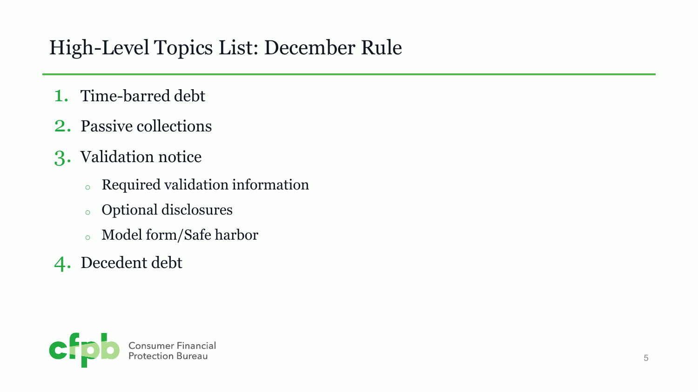## High-Level Topics List: December Rule

- 1. Time-barred debt
- 2. Passive collections
- 3. Validation notice
	- <sup>o</sup> Required validation information
	- <sup>o</sup> Optional disclosures
	- <sup>o</sup> Model form/Safe harbor
- 4. Decedent debt

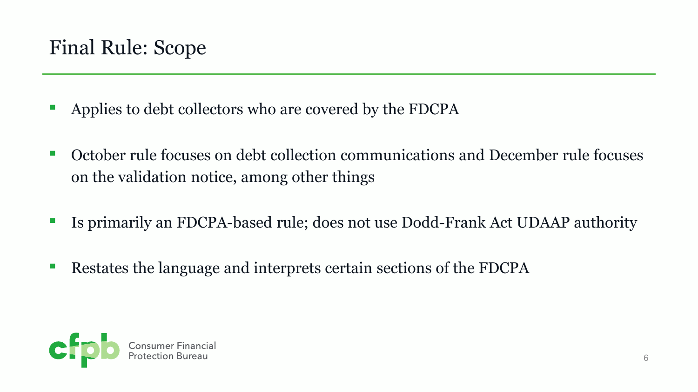- Applies to debt collectors who are covered by the FDCPA
- October rule focuses on debt collection communications and December rule focuses on the validation notice, among other things
- Is primarily an FDCPA-based rule; does not use Dodd-Frank Act UDAAP authority
- Restates the language and interprets certain sections of the FDCPA

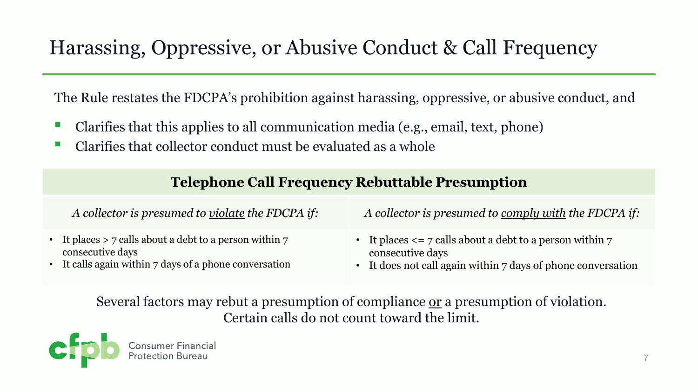## Harassing, Oppressive, or Abusive Conduct & Call Frequency

The Rule restates the FDCPA's prohibition against harassing, oppressive, or abusive conduct, and

- Clarifies that this applies to all communication media (e.g., email, text, phone)
- Clarifies that collector conduct must be evaluated as a whole

### **Telephone Call Frequency Rebuttable Presumption**

| A collector is presumed to <u>violate</u> the FDCPA if:                       | A collector is presumed to comply with the FDCPA if:                             |
|-------------------------------------------------------------------------------|----------------------------------------------------------------------------------|
| • It places $>$ 7 calls about a debt to a person within 7<br>consecutive days | • It places $\leq$ 7 calls about a debt to a person within 7<br>consecutive days |
| • It calls again within 7 days of a phone conversation                        | • It does not call again within 7 days of phone conversation                     |

Several factors may rebut a presumption of compliance or a presumption of violation. Certain calls do not count toward the limit.

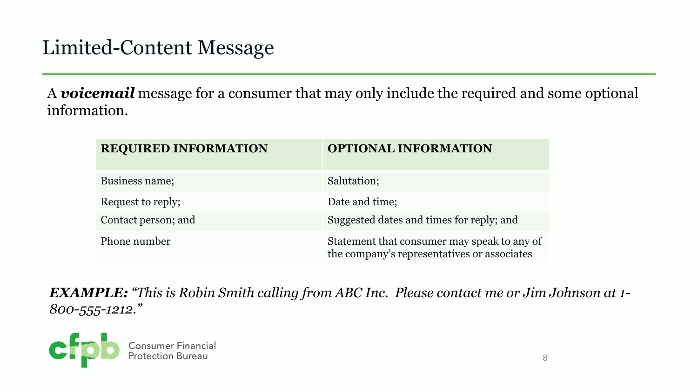### Limited-Content Message

A *voicemail* message for a consumer that may only include the required and some optional information.

| <b>REQUIRED INFORMATION</b> | <b>OPTIONAL INFORMATION</b>                                                                |
|-----------------------------|--------------------------------------------------------------------------------------------|
| Business name;              | Salutation;                                                                                |
| Request to reply;           | Date and time;                                                                             |
| Contact person; and         | Suggested dates and times for reply; and                                                   |
| Phone number                | Statement that consumer may speak to any of<br>the company's representatives or associates |

*EXAMPLE: "This is Robin Smith calling from ABC Inc. Please contact me or Jim Johnson at 1- 800-555-1212."*

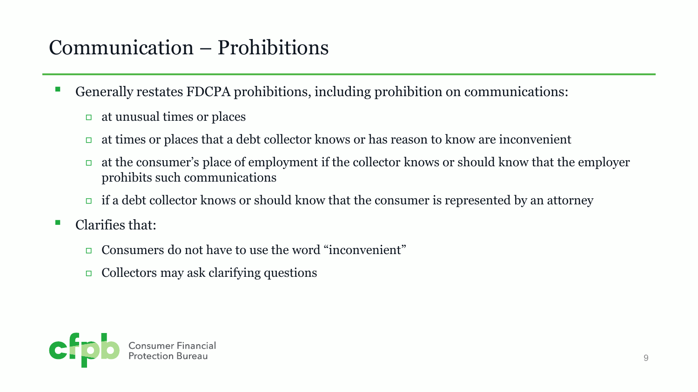## Communication – Prohibitions

- Generally restates FDCPA prohibitions, including prohibition on communications:
	- $\Box$  at unusual times or places
	- $\Box$  at times or places that a debt collector knows or has reason to know are inconvenient
	- $\Box$  at the consumer's place of employment if the collector knows or should know that the employer prohibits such communications
	- $\Box$  if a debt collector knows or should know that the consumer is represented by an attorney
- Clarifies that:
	- ◻ Consumers do not have to use the word "inconvenient"
	- $\Box$  Collectors may ask clarifying questions

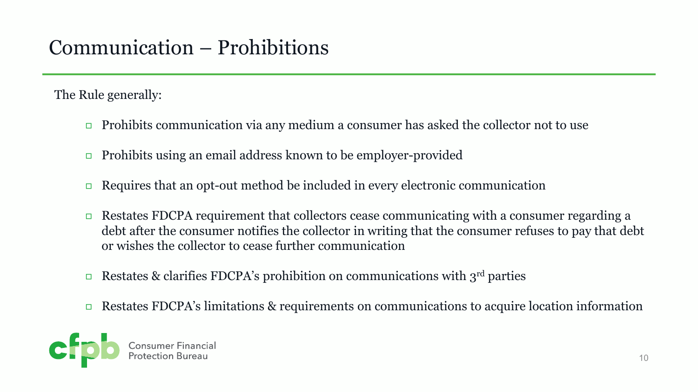## Communication – Prohibitions

The Rule generally:

- $\Box$  Prohibits communication via any medium a consumer has asked the collector not to use
- ◻ Prohibits using an email address known to be employer-provided
- $\Box$  Requires that an opt-out method be included in every electronic communication
- $\Box$  Restates FDCPA requirement that collectors cease communicating with a consumer regarding a debt after the consumer notifies the collector in writing that the consumer refuses to pay that debt or wishes the collector to cease further communication
- **Example 3** Restates & clarifies FDCPA's prohibition on communications with 3<sup>rd</sup> parties
- **Example 3** Restates FDCPA's limitations & requirements on communications to acquire location information

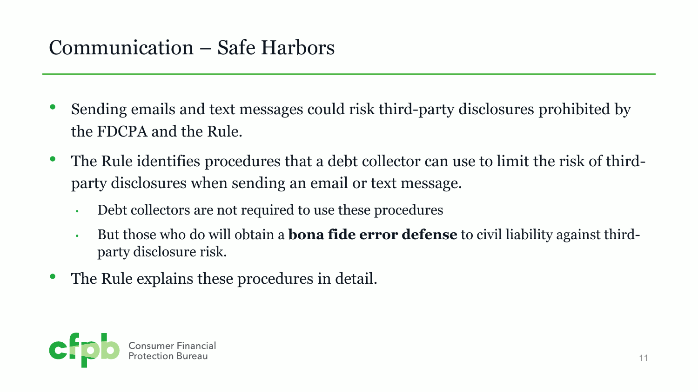### Communication – Safe Harbors

- Sending emails and text messages could risk third-party disclosures prohibited by the FDCPA and the Rule.
- The Rule identifies procedures that a debt collector can use to limit the risk of thirdparty disclosures when sending an email or text message.
	- Debt collectors are not required to use these procedures
	- But those who do will obtain a **bona fide error defense** to civil liability against thirdparty disclosure risk.
- The Rule explains these procedures in detail.

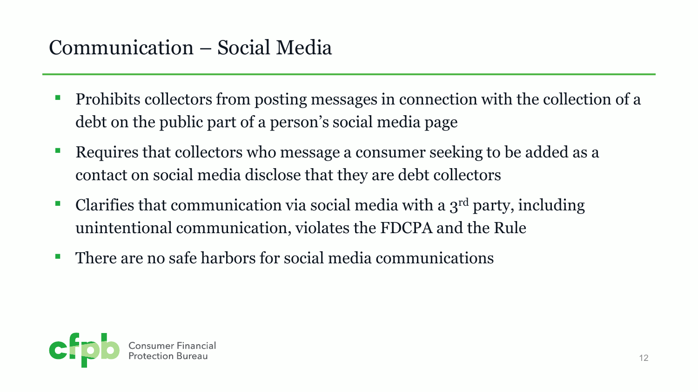## Communication – Social Media

- Prohibits collectors from posting messages in connection with the collection of a debt on the public part of a person's social media page
- Requires that collectors who message a consumer seeking to be added as a contact on social media disclose that they are debt collectors
- Clarifies that communication via social media with a  $3<sup>rd</sup>$  party, including unintentional communication, violates the FDCPA and the Rule
- There are no safe harbors for social media communications

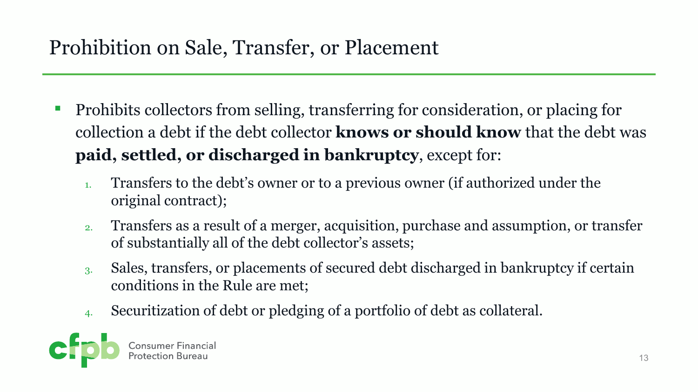## Prohibition on Sale, Transfer, or Placement

- Prohibits collectors from selling, transferring for consideration, or placing for collection a debt if the debt collector **knows or should know** that the debt was **paid, settled, or discharged in bankruptcy**, except for:
	- 1. Transfers to the debt's owner or to a previous owner (if authorized under the original contract);
	- 2. Transfers as a result of a merger, acquisition, purchase and assumption, or transfer of substantially all of the debt collector's assets;
	- 3. Sales, transfers, or placements of secured debt discharged in bankruptcy if certain conditions in the Rule are met;
	- 4. Securitization of debt or pledging of a portfolio of debt as collateral.

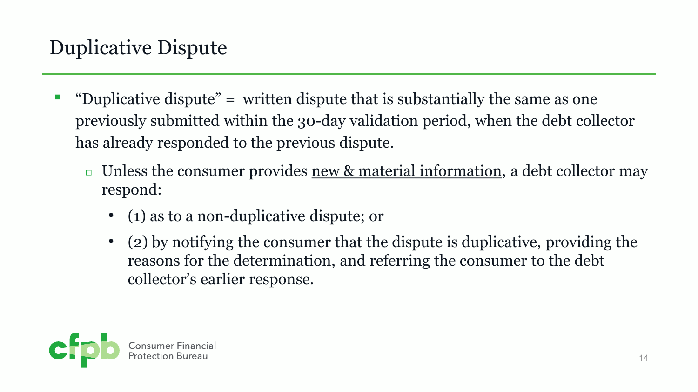- "Duplicative dispute"  $=$  written dispute that is substantially the same as one previously submitted within the 30-day validation period, when the debt collector has already responded to the previous dispute.
	- **□** Unless the consumer provides new & material information, a debt collector may respond:
		- (1) as to a non-duplicative dispute; or
		- (2) by notifying the consumer that the dispute is duplicative, providing the reasons for the determination, and referring the consumer to the debt collector's earlier response.

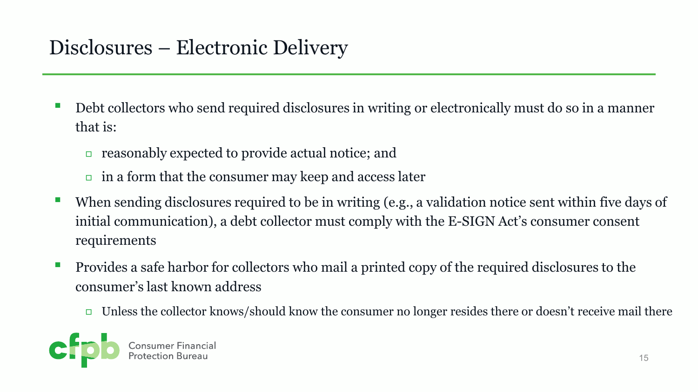### Disclosures – Electronic Delivery

- Debt collectors who send required disclosures in writing or electronically must do so in a manner that is:
	- ◻ reasonably expected to provide actual notice; and
	- $\Box$  in a form that the consumer may keep and access later
- When sending disclosures required to be in writing (e.g., a validation notice sent within five days of initial communication), a debt collector must comply with the E-SIGN Act's consumer consent requirements
- Provides a safe harbor for collectors who mail a printed copy of the required disclosures to the consumer's last known address
	- $\Box$  Unless the collector knows/should know the consumer no longer resides there or doesn't receive mail there

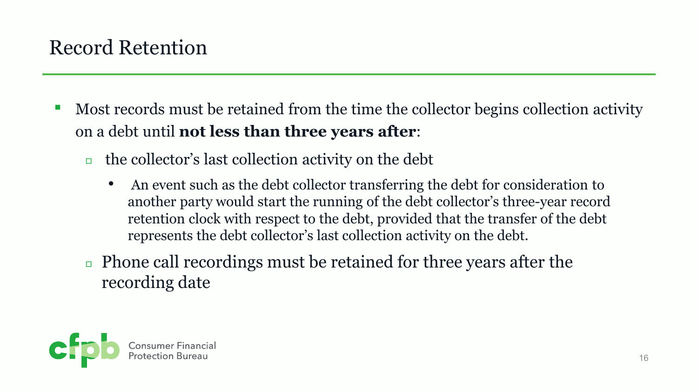## Record Retention

- Most records must be retained from the time the collector begins collection activity on a debt until **not less than three years after**:
	- $\Box$  the collector's last collection activity on the debt
		- An event such as the debt collector transferring the debt for consideration to another party would start the running of the debt collector's three-year record retention clock with respect to the debt, provided that the transfer of the debt represents the debt collector's last collection activity on the debt.
	- <sup>◻</sup> Phone call recordings must be retained for three years after the recording date

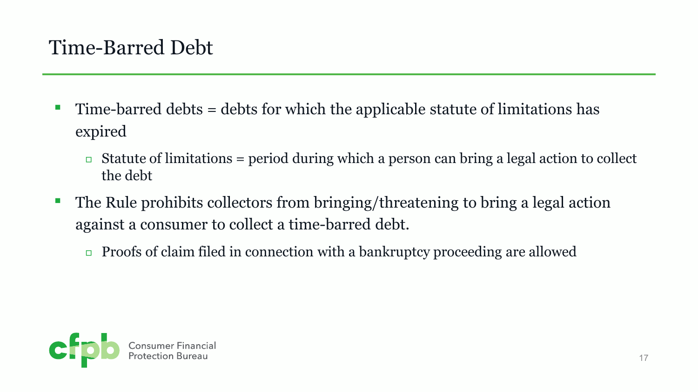### Time-Barred Debt

- Time-barred debts = debts for which the applicable statute of limitations has expired
	- $\Box$  Statute of limitations = period during which a person can bring a legal action to collect the debt
- The Rule prohibits collectors from bringing/threatening to bring a legal action against a consumer to collect a time-barred debt.
	- $\Box$  Proofs of claim filed in connection with a bankruptcy proceeding are allowed

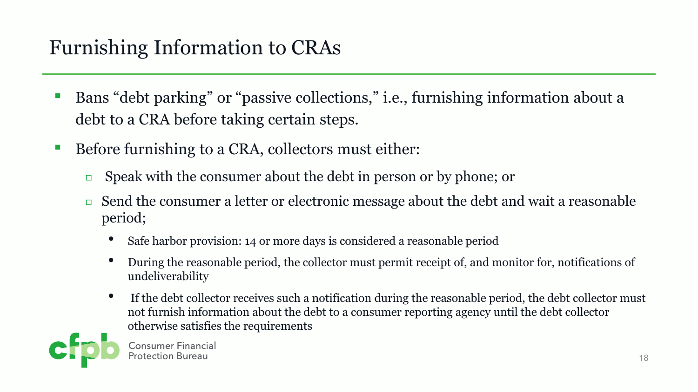## Furnishing Information to CRAs

- Bans "debt parking" or "passive collections," i.e., furnishing information about a debt to a CRA before taking certain steps.
- Before furnishing to a CRA, collectors must either:
	- $\Box$  Speak with the consumer about the debt in person or by phone; or
	- <sup>◻</sup> Send the consumer a letter or electronic message about the debt and wait a reasonable period;
		- Safe harbor provision: 14 or more days is considered a reasonable period
		- During the reasonable period, the collector must permit receipt of, and monitor for, notifications of undeliverability
		- If the debt collector receives such a notification during the reasonable period, the debt collector must not furnish information about the debt to a consumer reporting agency until the debt collector otherwise satisfies the requirements



**Consumer Financial**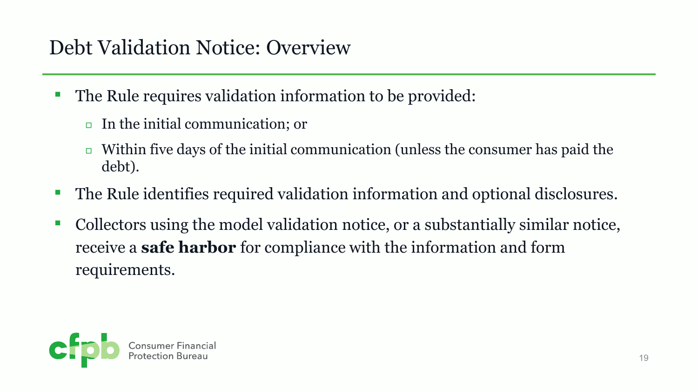## Debt Validation Notice: Overview

- The Rule requires validation information to be provided:
	- <sup>◻</sup> In the initial communication; or
	- $\Box$  Within five days of the initial communication (unless the consumer has paid the debt).
- The Rule identifies required validation information and optional disclosures.
- Collectors using the model validation notice, or a substantially similar notice, receive a **safe harbor** for compliance with the information and form requirements.

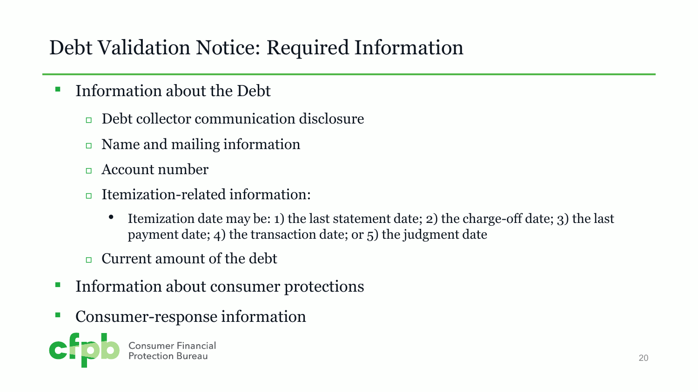## Debt Validation Notice: Required Information

- Information about the Debt
	- <sup>◻</sup> Debt collector communication disclosure
	- <sup>◻</sup> Name and mailing information
	- <sup>◻</sup> Account number
	- <sup>◻</sup> Itemization-related information:
		- Itemization date may be: 1) the last statement date; 2) the charge-off date; 3) the last payment date; 4) the transaction date; or 5) the judgment date
	- <sup>◻</sup> Current amount of the debt
- Information about consumer protections
- Consumer-response information

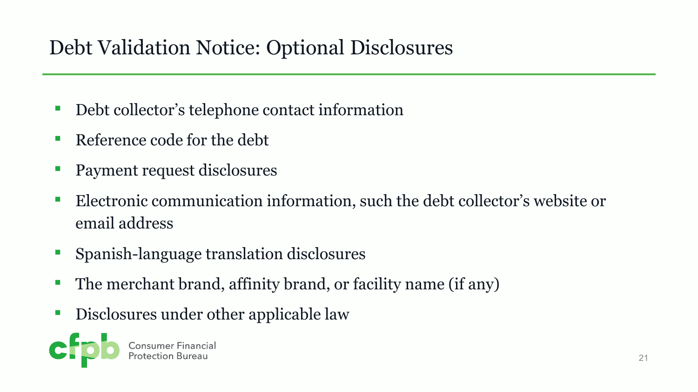## Debt Validation Notice: Optional Disclosures

- Debt collector's telephone contact information
- Reference code for the debt
- Payment request disclosures
- Electronic communication information, such the debt collector's website or email address
- Spanish-language translation disclosures
- The merchant brand, affinity brand, or facility name (if any)
- Disclosures under other applicable law

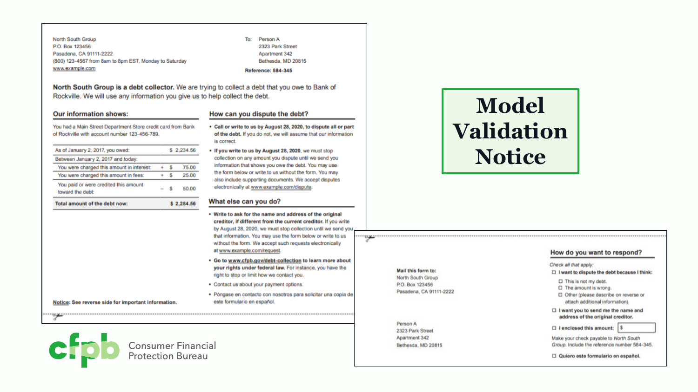North South Group P.O. Box 123456 Pasadena, CA 91111-2222 (800) 123-4567 from 8am to 8pm EST, Monday to Saturday www.example.com

To: Person A 2323 Park Street Apartment 342 Bethesda, MD 20815 **Reference: 584-345** 

North South Group is a debt collector. We are trying to collect a debt that you owe to Bank of Rockville. We will use any information you give us to help collect the debt.

#### **Our information shows:**

#### How can you dispute the debt?

You had a Main Street Department Store credit card from Bank of Rockville with account number 123-456-789.

| As of January 2, 2017, you owed:                          |  |  | \$2.234.56 |
|-----------------------------------------------------------|--|--|------------|
| Between January 2, 2017 and today:                        |  |  |            |
| You were charged this amount in interest:                 |  |  | 75.00      |
| You were charged this amount in fees:                     |  |  | 25.00      |
| You paid or were credited this amount<br>toward the debt: |  |  | 50.00      |
| Total amount of the debt now:                             |  |  | 2.284.56   |

- Call or write to us by August 28, 2020, to dispute all or part of the debt. If you do not, we will assume that our information is correct.
- . If you write to us by August 28, 2020, we must stop collection on any amount you dispute until we send you information that shows you owe the debt. You may use the form below or write to us without the form. You may also include supporting documents. We accept disputes electronically at www.example.com/dispute.

#### What else can you do?

- . Write to ask for the name and address of the original creditor, if different from the current creditor. If you write by August 28, 2020, we must stop collection until we send you that information. You may use the form below or write to us without the form. We accept such requests electronically at www.example.com/request.
- . Go to www.cfpb.gov/debt-collection to learn more about your rights under federal law. For instance, you have the right to stop or limit how we contact you.
- Contact us about your payment options.

· Póngase en contacto con nosotros para solicitar una copia de este formulario en español.

## **Model Validation Notice**

#### Mail this form to:

North South Group P.O. Box 123456 Pasadena, CA 91111-2222

Person A 2323 Park Street Apartment 342 Bethesda, MD 20815

#### How do you want to respond?

#### Check all that apply:

- □ I want to dispute the debt because I think:
- $\Box$  This is not my debt.
- $\Box$  The amount is wrong.
- □ Other (please describe on reverse or attach additional information).
- □ I want you to send me the name and address of the original creditor.
- $\Box$  I enclosed this amount:  $\boxed{\$}$

Make your check payable to North South Group. Include the reference number 584-345.

22

Notice: See reverse side for important information.

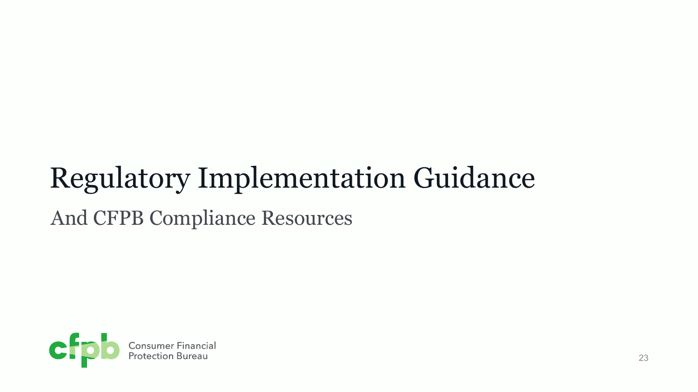# Regulatory Implementation Guidance

### And CFPB Compliance Resources

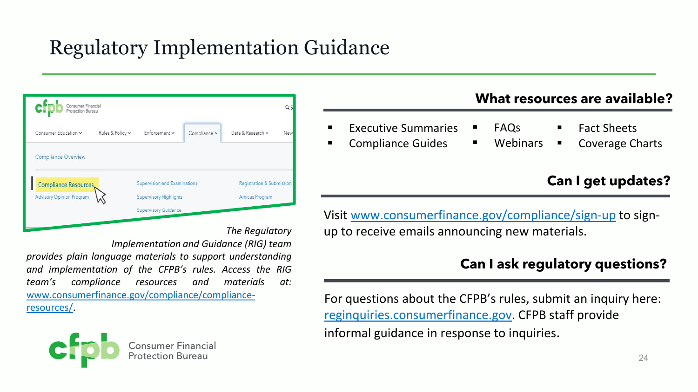## Regulatory Implementation Guidance

| cŀ                              | Consumer Financial<br>Qς<br>Protection Bureau |                               |              |                           |     |  |  |  |  |  |  |
|---------------------------------|-----------------------------------------------|-------------------------------|--------------|---------------------------|-----|--|--|--|--|--|--|
| Consumer Education v            | Rules & Policy v                              | Enforcement v                 | Compliance ^ | Data & Research v         | New |  |  |  |  |  |  |
| <b>Compliance Overview</b>      |                                               |                               |              |                           |     |  |  |  |  |  |  |
| Compliance Resources            | Supervision and Examinations                  |                               |              | Registration & Submission |     |  |  |  |  |  |  |
| <b>Advisory Opinion Program</b> |                                               | <b>Supervisory Highlights</b> |              | Amicus Program            |     |  |  |  |  |  |  |
|                                 |                                               | <b>Supervisory Guidance</b>   |              |                           |     |  |  |  |  |  |  |
|                                 |                                               |                               |              | .                         |     |  |  |  |  |  |  |

*The Regulatory*

*Implementation and Guidance (RIG) team provides plain language materials to support understanding and implementation of the CFPB's rules. Access the RIG team's compliance resources and materials at:* [www.consumerfinance.gov/compliance/compliance](http://www.consumerfinance.gov/compliance/compliance-resources/)resources/.



### **What resources are available?**

- Executive Summaries
- Compliance Guides
- Fact Sheets
- **Webinars** Coverage Charts

### **Can I get updates?**

Visit [www.consumerfinance.gov/compliance/sign-up](https://www.consumerfinance.gov/compliance/sign-up) to signup to receive emails announcing new materials.

FAQs

### **Can I ask regulatory questions?**

For questions about the CFPB's rules, submit an inquiry here: [reginquiries.consumerfinance.gov.](https://reginquiries.consumerfinance.gov/) CFPB staff provide informal guidance in response to inquiries.